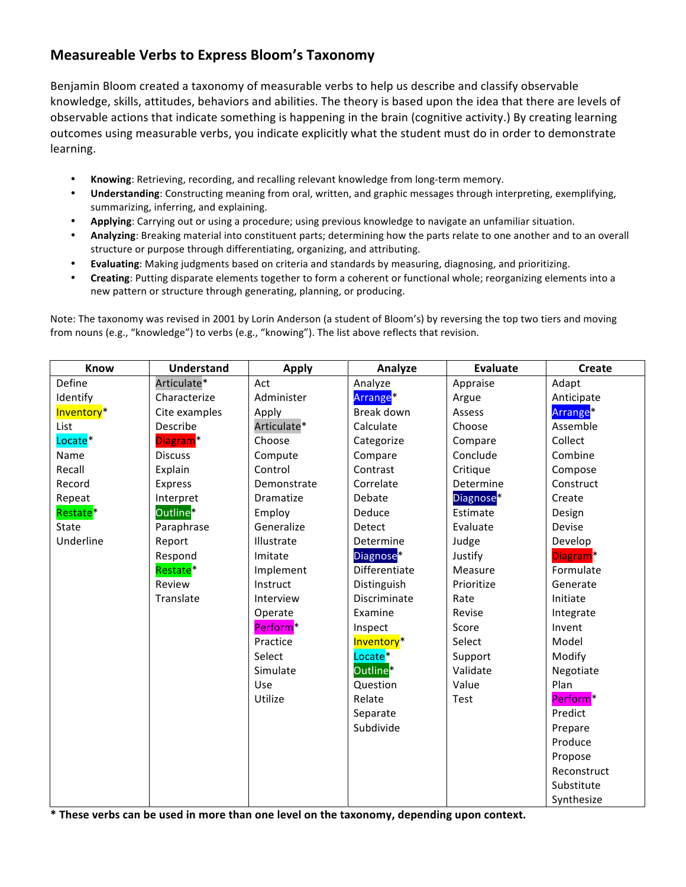## **Measureable)Verbs to)Express)Bloom's)Taxonomy**

Benjamin Bloom created a taxonomy of measurable verbs to help us describe and classify observable knowledge, skills, attitudes, behaviors and abilities. The theory is based upon the idea that there are levels of observable actions that indicate something is happening in the brain (cognitive activity.) By creating learning outcomes using measurable verbs, you indicate explicitly what the student must do in order to demonstrate learning.

- Knowing: Retrieving, recording, and recalling relevant knowledge from long-term memory.
- Understanding: Constructing meaning from oral, written, and graphic messages through interpreting, exemplifying, summarizing, inferring, and explaining.
- Applying: Carrying out or using a procedure; using previous knowledge to navigate an unfamiliar situation.
- Analyzing: Breaking material into constituent parts; determining how the parts relate to one another and to an overall structure or purpose through differentiating, organizing, and attributing.
- Evaluating: Making judgments based on criteria and standards by measuring, diagnosing, and prioritizing.
- Creating: Putting disparate elements together to form a coherent or functional whole; reorganizing elements into a new pattern or structure through generating, planning, or producing.

Note: The taxonomy was revised in 2001 by Lorin Anderson (a student of Bloom's) by reversing the top two tiers and moving from nouns (e.g., "knowledge") to verbs (e.g., "knowing"). The list above reflects that revision.

| Know                   | <b>Understand</b>    | <b>Apply</b>         | Analyze                | <b>Evaluate</b>       | <b>Create</b>        |
|------------------------|----------------------|----------------------|------------------------|-----------------------|----------------------|
| Define                 | Articulate*          | Act                  | Analyze                | Appraise              | Adapt                |
| Identify               | Characterize         | Administer           | Arrange <sup>*</sup>   | Argue                 | Anticipate           |
| Inventory <sup>*</sup> | Cite examples        | Apply                | Break down             | Assess                | Arrange <sup>*</sup> |
| List                   | Describe             | Articulate*          | Calculate              | Choose                | Assemble             |
| Locate <sup>*</sup>    | Diagram <sup>*</sup> | Choose               | Categorize             | Compare               | Collect              |
| Name                   | <b>Discuss</b>       | Compute              | Compare                | Conclude              | Combine              |
| Recall                 | Explain              | Control              | Contrast               | Critique              | Compose              |
| Record                 | Express              | Demonstrate          | Correlate              | Determine             | Construct            |
| Repeat                 | Interpret            | Dramatize            | Debate                 | Diagnose <sup>*</sup> | Create               |
| Restate <sup>*</sup>   | Outline <sup>®</sup> | Employ               | Deduce                 | Estimate              | Design               |
| <b>State</b>           | Paraphrase           | Generalize           | Detect                 | Evaluate              | Devise               |
| Underline              | Report               | Illustrate           | Determine              | Judge                 | Develop              |
|                        | Respond              | Imitate              | Diagnose <sup>*</sup>  | Justify               | Diagram <sup>*</sup> |
|                        | Restate <sup>*</sup> | Implement            | Differentiate          | Measure               | Formulate            |
|                        | Review               | Instruct             | Distinguish            | Prioritize            | Generate             |
|                        | Translate            | Interview            | Discriminate           | Rate                  | Initiate             |
|                        |                      | Operate              | Examine                | Revise                | Integrate            |
|                        |                      | Perform <sup>*</sup> | Inspect                | Score                 | Invent               |
|                        |                      | Practice             | Inventory <sup>*</sup> | Select                | Model                |
|                        |                      | Select               | Locate <sup>*</sup>    | Support               | Modify               |
|                        |                      | Simulate             | Outline*               | Validate              | Negotiate            |
|                        |                      | Use                  | Question               | Value                 | Plan                 |
|                        |                      | Utilize              | Relate                 | Test                  | Perform <sup>*</sup> |
|                        |                      |                      | Separate               |                       | Predict              |
|                        |                      |                      | Subdivide              |                       | Prepare              |
|                        |                      |                      |                        |                       | Produce              |
|                        |                      |                      |                        |                       | Propose              |
|                        |                      |                      |                        |                       | Reconstruct          |
|                        |                      |                      |                        |                       | Substitute           |
|                        |                      |                      |                        |                       | Synthesize           |

**\*)These)verbs)can)be)used)in)more)than)one)level)on)the)taxonomy,)depending)upon)context.)**